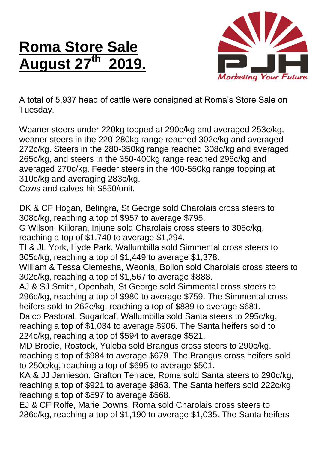## **Roma Store Sale August 27 th 2019.**



A total of 5,937 head of cattle were consigned at Roma's Store Sale on Tuesday.

Weaner steers under 220kg topped at 290c/kg and averaged 253c/kg, weaner steers in the 220-280kg range reached 302c/kg and averaged 272c/kg. Steers in the 280-350kg range reached 308c/kg and averaged 265c/kg, and steers in the 350-400kg range reached 296c/kg and averaged 270c/kg. Feeder steers in the 400-550kg range topping at 310c/kg and averaging 283c/kg.

Cows and calves hit \$850/unit.

DK & CF Hogan, Belingra, St George sold Charolais cross steers to 308c/kg, reaching a top of \$957 to average \$795.

G Wilson, Killoran, Injune sold Charolais cross steers to 305c/kg, reaching a top of \$1,740 to average \$1,294.

TI & JL York, Hyde Park, Wallumbilla sold Simmental cross steers to 305c/kg, reaching a top of \$1,449 to average \$1,378.

William & Tessa Clemesha, Weonia, Bollon sold Charolais cross steers to 302c/kg, reaching a top of \$1,567 to average \$888.

AJ & SJ Smith, Openbah, St George sold Simmental cross steers to 296c/kg, reaching a top of \$980 to average \$759. The Simmental cross heifers sold to 262c/kg, reaching a top of \$889 to average \$681.

Dalco Pastoral, Sugarloaf, Wallumbilla sold Santa steers to 295c/kg, reaching a top of \$1,034 to average \$906. The Santa heifers sold to 224c/kg, reaching a top of \$594 to average \$521.

MD Brodie, Rostock, Yuleba sold Brangus cross steers to 290c/kg, reaching a top of \$984 to average \$679. The Brangus cross heifers sold to 250c/kg, reaching a top of \$695 to average \$501.

KA & JJ Jamieson, Grafton Terrace, Roma sold Santa steers to 290c/kg, reaching a top of \$921 to average \$863. The Santa heifers sold 222c/kg reaching a top of \$597 to average \$568.

EJ & CF Rolfe, Marie Downs, Roma sold Charolais cross steers to 286c/kg, reaching a top of \$1,190 to average \$1,035. The Santa heifers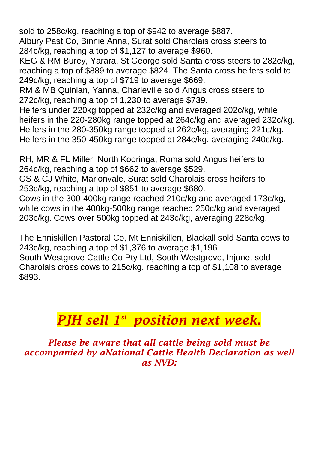sold to 258c/kg, reaching a top of \$942 to average \$887.

Albury Past Co, Binnie Anna, Surat sold Charolais cross steers to 284c/kg, reaching a top of \$1,127 to average \$960.

KEG & RM Burey, Yarara, St George sold Santa cross steers to 282c/kg, reaching a top of \$889 to average \$824. The Santa cross heifers sold to 249c/kg, reaching a top of \$719 to average \$669.

RM & MB Quinlan, Yanna, Charleville sold Angus cross steers to 272c/kg, reaching a top of 1,230 to average \$739.

Heifers under 220kg topped at 232c/kg and averaged 202c/kg, while heifers in the 220-280kg range topped at 264c/kg and averaged 232c/kg. Heifers in the 280-350kg range topped at 262c/kg, averaging 221c/kg. Heifers in the 350-450kg range topped at 284c/kg, averaging 240c/kg.

RH, MR & FL Miller, North Kooringa, Roma sold Angus heifers to 264c/kg, reaching a top of \$662 to average \$529.

GS & CJ White, Marionvale, Surat sold Charolais cross heifers to 253c/kg, reaching a top of \$851 to average \$680.

Cows in the 300-400kg range reached 210c/kg and averaged 173c/kg, while cows in the 400kg-500kg range reached 250c/kg and averaged 203c/kg. Cows over 500kg topped at 243c/kg, averaging 228c/kg.

The Enniskillen Pastoral Co, Mt Enniskillen, Blackall sold Santa cows to 243c/kg, reaching a top of \$1,376 to average \$1,196 South Westgrove Cattle Co Pty Ltd, South Westgrove, Injune, sold Charolais cross cows to 215c/kg, reaching a top of \$1,108 to average \$893.

## *PJH sell 1 st position next week.*

*Please be aware that all cattle being sold must be accompanied by aNational Cattle Health Declaration as well as NVD:*